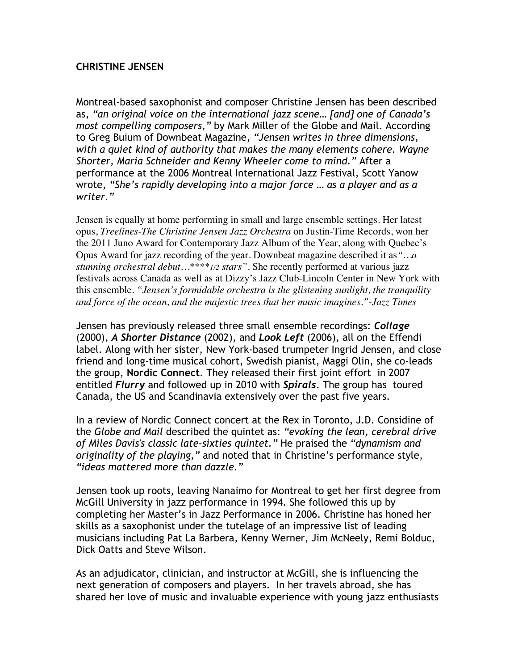## **CHRISTINE JENSEN**

Montreal-based saxophonist and composer Christine Jensen has been described as, *"an original voice on the international jazz scene… [and] one of Canada's most compelling composers,"* by Mark Miller of the Globe and Mail*.* According to Greg Buium of Downbeat Magazine, *"Jensen writes in three dimensions, with a quiet kind of authority that makes the many elements cohere. Wayne Shorter, Maria Schneider and Kenny Wheeler come to mind."* After a performance at the 2006 Montreal International Jazz Festival, Scott Yanow wrote*, "She's rapidly developing into a major force … as a player and as a writer."*

Jensen is equally at home performing in small and large ensemble settings. Her latest opus, *Treelines-The Christine Jensen Jazz Orchestra* on Justin-Time Records, won her the 2011 Juno Award for Contemporary Jazz Album of the Year, along with Quebec's Opus Award for jazz recording of the year. Downbeat magazine described it as*"…a stunning orchestral debut…\*\*\*\*1/2 stars".* She recently performed at various jazz festivals across Canada as well as at Dizzy's Jazz Club-Lincoln Center in New York with this ensemble. *"Jensen's formidable orchestra is the glistening sunlight, the tranquility and force of the ocean, and the majestic trees that her music imagines."-Jazz Times*

Jensen has previously released three small ensemble recordings: *Collage*  (2000), *A Shorter Distance* (2002), and *Look Left* (2006), all on the Effendi label. Along with her sister, New York-based trumpeter Ingrid Jensen, and close friend and long-time musical cohort, Swedish pianist, Maggi Olin, she co-leads the group, **Nordic Connect**. They released their first joint effort in 2007 entitled *Flurry* and followed up in 2010 with *Spirals*. The group has toured Canada, the US and Scandinavia extensively over the past five years.

In a review of Nordic Connect concert at the Rex in Toronto, J.D. Considine of the *Globe and Mail* described the quintet as: *"evoking the lean, cerebral drive of Miles Davis's classic late-sixties quintet."* He praised the *"dynamism and originality of the playing,"* and noted that in Christine's performance style, *"ideas mattered more than dazzle."*

Jensen took up roots, leaving Nanaimo for Montreal to get her first degree from McGill University in jazz performance in 1994. She followed this up by completing her Master's in Jazz Performance in 2006. Christine has honed her skills as a saxophonist under the tutelage of an impressive list of leading musicians including Pat La Barbera, Kenny Werner, Jim McNeely, Remi Bolduc, Dick Oatts and Steve Wilson.

As an adjudicator, clinician, and instructor at McGill, she is influencing the next generation of composers and players. In her travels abroad, she has shared her love of music and invaluable experience with young jazz enthusiasts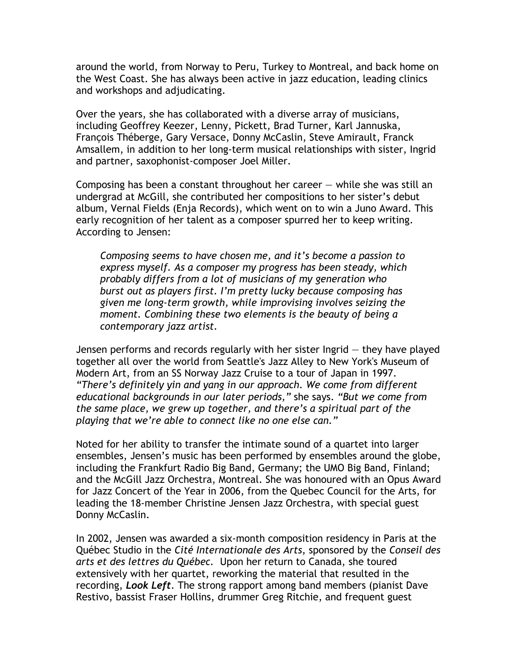around the world, from Norway to Peru, Turkey to Montreal, and back home on the West Coast. She has always been active in jazz education, leading clinics and workshops and adjudicating.

Over the years, she has collaborated with a diverse array of musicians, including Geoffrey Keezer, Lenny, Pickett, Brad Turner, Karl Jannuska, François Théberge, Gary Versace, Donny McCaslin, Steve Amirault, Franck Amsallem, in addition to her long-term musical relationships with sister, Ingrid and partner, saxophonist-composer Joel Miller.

Composing has been a constant throughout her career  $-$  while she was still an undergrad at McGill, she contributed her compositions to her sister's debut album, Vernal Fields (Enja Records), which went on to win a Juno Award. This early recognition of her talent as a composer spurred her to keep writing. According to Jensen:

*Composing seems to have chosen me, and it's become a passion to express myself. As a composer my progress has been steady, which probably differs from a lot of musicians of my generation who burst out as players first. I'm pretty lucky because composing has given me long-term growth, while improvising involves seizing the moment. Combining these two elements is the beauty of being a contemporary jazz artist.* 

Jensen performs and records regularly with her sister Ingrid — they have played together all over the world from Seattle's Jazz Alley to New York's Museum of Modern Art, from an SS Norway Jazz Cruise to a tour of Japan in 1997. *"There's definitely yin and yang in our approach. We come from different educational backgrounds in our later periods,"* she says. *"But we come from the same place, we grew up together, and there's a spiritual part of the playing that we're able to connect like no one else can."* 

Noted for her ability to transfer the intimate sound of a quartet into larger ensembles, Jensen's music has been performed by ensembles around the globe, including the Frankfurt Radio Big Band, Germany; the UMO Big Band, Finland; and the McGill Jazz Orchestra, Montreal. She was honoured with an Opus Award for Jazz Concert of the Year in 2006, from the Quebec Council for the Arts, for leading the 18-member Christine Jensen Jazz Orchestra, with special guest Donny McCaslin.

In 2002, Jensen was awarded a six-month composition residency in Paris at the Québec Studio in the *Cité Internationale des Arts*, sponsored by the *Conseil des arts et des lettres du Québec.* Upon her return to Canada, she toured extensively with her quartet, reworking the material that resulted in the recording, *Look Left*. The strong rapport among band members (pianist Dave Restivo, bassist Fraser Hollins, drummer Greg Ritchie, and frequent guest